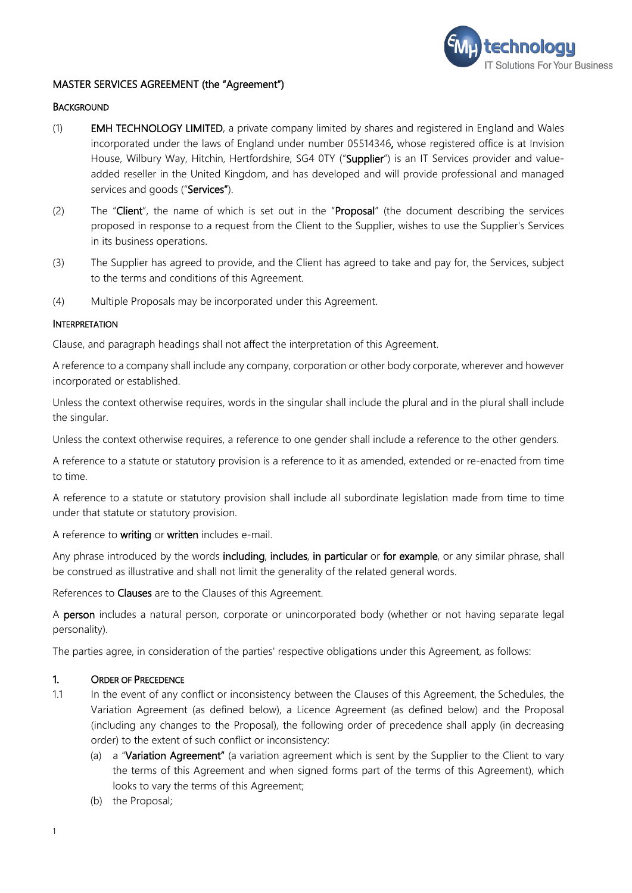

#### MASTER SERVICES AGREEMENT (the "Agreement")

#### **BACKGROUND**

- (1) EMH TECHNOLOGY LIMITED, a private company limited by shares and registered in England and Wales incorporated under the laws of England under number 05514346, whose registered office is at Invision House, Wilbury Way, Hitchin, Hertfordshire, SG4 0TY ("Supplier") is an IT Services provider and valueadded reseller in the United Kingdom, and has developed and will provide professional and managed services and goods ("Services").
- (2) The "Client", the name of which is set out in the "Proposal" (the document describing the services proposed in response to a request from the Client to the Supplier, wishes to use the Supplier's Services in its business operations.
- (3) The Supplier has agreed to provide, and the Client has agreed to take and pay for, the Services, subject to the terms and conditions of this Agreement.
- (4) Multiple Proposals may be incorporated under this Agreement.

#### **INTERPRETATION**

Clause, and paragraph headings shall not affect the interpretation of this Agreement.

A reference to a company shall include any company, corporation or other body corporate, wherever and however incorporated or established.

Unless the context otherwise requires, words in the singular shall include the plural and in the plural shall include the singular.

Unless the context otherwise requires, a reference to one gender shall include a reference to the other genders.

A reference to a statute or statutory provision is a reference to it as amended, extended or re-enacted from time to time.

A reference to a statute or statutory provision shall include all subordinate legislation made from time to time under that statute or statutory provision.

A reference to writing or written includes e-mail.

Any phrase introduced by the words including, includes, in particular or for example, or any similar phrase, shall be construed as illustrative and shall not limit the generality of the related general words.

#### References to Clauses are to the Clauses of this Agreement.

A person includes a natural person, corporate or unincorporated body (whether or not having separate legal personality).

The parties agree, in consideration of the parties' respective obligations under this Agreement, as follows:

### 1. ORDER OF PRECEDENCE

- 1.1 In the event of any conflict or inconsistency between the Clauses of this Agreement, the Schedules, the Variation Agreement (as defined below), a Licence Agreement (as defined below) and the Proposal (including any changes to the Proposal), the following order of precedence shall apply (in decreasing order) to the extent of such conflict or inconsistency:
	- (a) a "Variation Agreement" (a variation agreement which is sent by the Supplier to the Client to vary the terms of this Agreement and when signed forms part of the terms of this Agreement), which looks to vary the terms of this Agreement;
	- (b) the Proposal;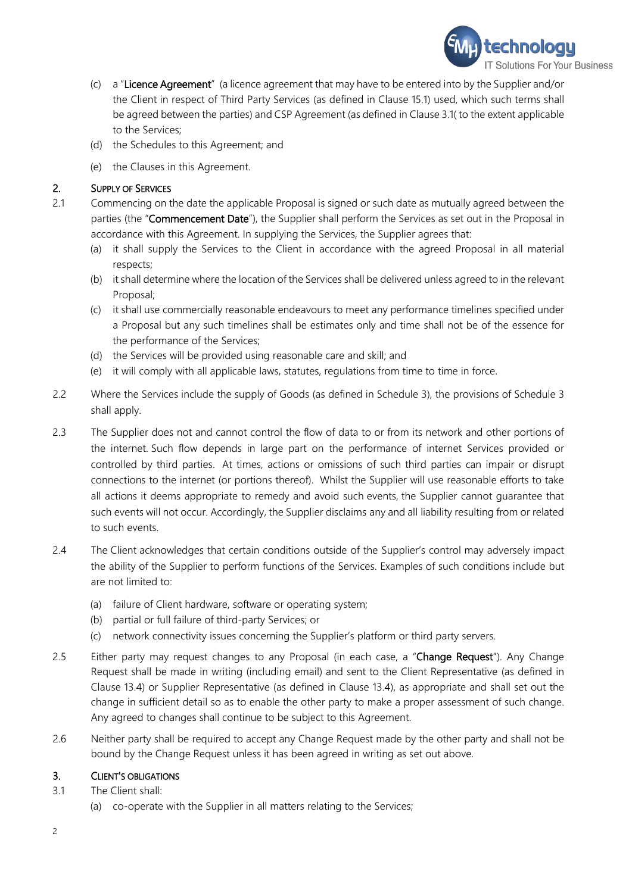

- (c) a "Licence Agreement" (a licence agreement that may have to be entered into by the Supplier and/or the Client in respect of Third Party Services (as defined in Clause [15.1\)](#page-9-0) used, which such terms shall be agreed between the parties) and CSP Agreement (as defined in Claus[e 3.1\(](#page-2-0) to the extent applicable to the Services;
- (d) the Schedules to this Agreement; and
- (e) the Clauses in this Agreement.

# 2. SUPPLY OF SERVICES

- 2.1 Commencing on the date the applicable Proposal is signed or such date as mutually agreed between the parties (the "Commencement Date"), the Supplier shall perform the Services as set out in the Proposal in accordance with this Agreement. In supplying the Services, the Supplier agrees that:
	- (a) it shall supply the Services to the Client in accordance with the agreed Proposal in all material respects;
	- (b) it shall determine where the location of the Services shall be delivered unless agreed to in the relevant Proposal;
	- (c) it shall use commercially reasonable endeavours to meet any performance timelines specified under a Proposal but any such timelines shall be estimates only and time shall not be of the essence for the performance of the Services;
	- (d) the Services will be provided using reasonable care and skill; and
	- (e) it will comply with all applicable laws, statutes, regulations from time to time in force.
- 2.2 Where the Services include the supply of Goods (as defined in Schedule 3), the provisions of Schedule 3 shall apply.
- 2.3 The Supplier does not and cannot control the flow of data to or from its network and other portions of the internet. Such flow depends in large part on the performance of internet Services provided or controlled by third parties. At times, actions or omissions of such third parties can impair or disrupt connections to the internet (or portions thereof). Whilst the Supplier will use reasonable efforts to take all actions it deems appropriate to remedy and avoid such events, the Supplier cannot guarantee that such events will not occur. Accordingly, the Supplier disclaims any and all liability resulting from or related to such events.
- 2.4 The Client acknowledges that certain conditions outside of the Supplier's control may adversely impact the ability of the Supplier to perform functions of the Services. Examples of such conditions include but are not limited to:
	- (a) failure of Client hardware, software or operating system;
	- (b) partial or full failure of third-party Services; or
	- (c) network connectivity issues concerning the Supplier's platform or third party servers.
- 2.5 Either party may request changes to any Proposal (in each case, a "Change Request"). Any Change Request shall be made in writing (including email) and sent to the Client Representative (as defined in Clause [13.4\)](#page-8-0) or Supplier Representative (as defined in Clause [13.4\)](#page-8-0), as appropriate and shall set out the change in sufficient detail so as to enable the other party to make a proper assessment of such change. Any agreed to changes shall continue to be subject to this Agreement.
- 2.6 Neither party shall be required to accept any Change Request made by the other party and shall not be bound by the Change Request unless it has been agreed in writing as set out above.

# 3. CLIENT'S OBLIGATIONS

- 3.1 The Client shall:
	- (a) co-operate with the Supplier in all matters relating to the Services;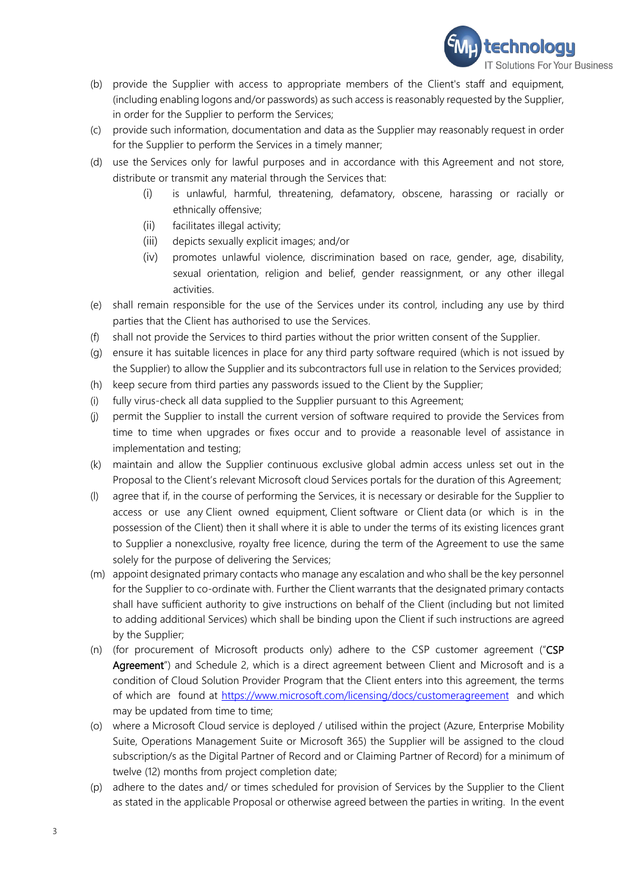

- (b) provide the Supplier with access to appropriate members of the Client's staff and equipment, (including enabling logons and/or passwords) as such access is reasonably requested by the Supplier, in order for the Supplier to perform the Services;
- (c) provide such information, documentation and data as the Supplier may reasonably request in order for the Supplier to perform the Services in a timely manner;
- (d) use the Services only for lawful purposes and in accordance with this Agreement and not store, distribute or transmit any material through the Services that:
	- (i) is unlawful, harmful, threatening, defamatory, obscene, harassing or racially or ethnically offensive;
	- (ii) facilitates illegal activity;
	- (iii) depicts sexually explicit images; and/or
	- (iv) promotes unlawful violence, discrimination based on race, gender, age, disability, sexual orientation, religion and belief, gender reassignment, or any other illegal activities.
- (e) shall remain responsible for the use of the Services under its control, including any use by third parties that the Client has authorised to use the Services.
- (f) shall not provide the Services to third parties without the prior written consent of the Supplier.
- (g) ensure it has suitable licences in place for any third party software required (which is not issued by the Supplier) to allow the Supplier and its subcontractors full use in relation to the Services provided;
- (h) keep secure from third parties any passwords issued to the Client by the Supplier;
- (i) fully virus-check all data supplied to the Supplier pursuant to this Agreement;
- (j) permit the Supplier to install the current version of software required to provide the Services from time to time when upgrades or fixes occur and to provide a reasonable level of assistance in implementation and testing;
- (k) maintain and allow the Supplier continuous exclusive global admin access unless set out in the Proposal to the Client's relevant Microsoft cloud Services portals for the duration of this Agreement;
- (l) agree that if, in the course of performing the Services, it is necessary or desirable for the Supplier to access or use any Client owned equipment, Client software or Client data (or which is in the possession of the Client) then it shall where it is able to under the terms of its existing licences grant to Supplier a nonexclusive, royalty free licence, during the term of the Agreement to use the same solely for the purpose of delivering the Services;
- (m) appoint designated primary contacts who manage any escalation and who shall be the key personnel for the Supplier to co-ordinate with. Further the Client warrants that the designated primary contacts shall have sufficient authority to give instructions on behalf of the Client (including but not limited to adding additional Services) which shall be binding upon the Client if such instructions are agreed by the Supplier;
- <span id="page-2-0"></span>(n) (for procurement of Microsoft products only) adhere to the CSP customer agreement ("CSP Agreement") and Schedule 2, which is a direct agreement between Client and Microsoft and is a condition of Cloud Solution Provider Program that the Client enters into this agreement, the terms of which are found at<https://www.microsoft.com/licensing/docs/customeragreement> and which may be updated from time to time;
- (o) where a Microsoft Cloud service is deployed / utilised within the project (Azure, Enterprise Mobility Suite, Operations Management Suite or Microsoft 365) the Supplier will be assigned to the cloud subscription/s as the Digital Partner of Record and or Claiming Partner of Record) for a minimum of twelve (12) months from project completion date;
- (p) adhere to the dates and/ or times scheduled for provision of Services by the Supplier to the Client as stated in the applicable Proposal or otherwise agreed between the parties in writing. In the event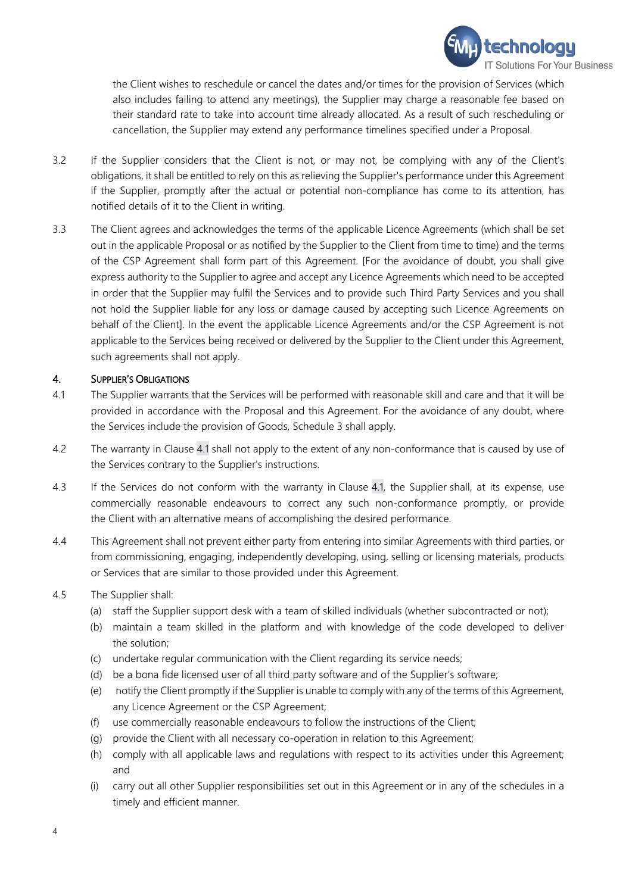

the Client wishes to reschedule or cancel the dates and/or times for the provision of Services (which also includes failing to attend any meetings), the Supplier may charge a reasonable fee based on their standard rate to take into account time already allocated. As a result of such rescheduling or cancellation, the Supplier may extend any performance timelines specified under a Proposal.

- 3.2 If the Supplier considers that the Client is not, or may not, be complying with any of the Client's obligations, it shall be entitled to rely on this as relieving the Supplier's performance under this Agreement if the Supplier, promptly after the actual or potential non-compliance has come to its attention, has notified details of it to the Client in writing.
- 3.3 The Client agrees and acknowledges the terms of the applicable Licence Agreements (which shall be set out in the applicable Proposal or as notified by the Supplier to the Client from time to time) and the terms of the CSP Agreement shall form part of this Agreement. [For the avoidance of doubt, you shall give express authority to the Supplier to agree and accept any Licence Agreements which need to be accepted in order that the Supplier may fulfil the Services and to provide such Third Party Services and you shall not hold the Supplier liable for any loss or damage caused by accepting such Licence Agreements on behalf of the Client]. In the event the applicable Licence Agreements and/or the CSP Agreement is not applicable to the Services being received or delivered by the Supplier to the Client under this Agreement, such agreements shall not apply.

### 4. SUPPLIER'S OBLIGATIONS

- 4.1 The Supplier warrants that the Services will be performed with reasonable skill and care and that it will be provided in accordance with the Proposal and this Agreement. For the avoidance of any doubt, where the Services include the provision of Goods, Schedule 3 shall apply.
- 4.2 The warranty in Clause 4.1 shall not apply to the extent of any non-conformance that is caused by use of the Services contrary to the Supplier's instructions.
- 4.3 If the Services do not conform with the warranty in Clause 4.1, the Supplier shall, at its expense, use commercially reasonable endeavours to correct any such non-conformance promptly, or provide the Client with an alternative means of accomplishing the desired performance.
- 4.4 This Agreement shall not prevent either party from entering into similar Agreements with third parties, or from commissioning, engaging, independently developing, using, selling or licensing materials, products or Services that are similar to those provided under this Agreement.
- 4.5 The Supplier shall:
	- (a) staff the Supplier support desk with a team of skilled individuals (whether subcontracted or not);
	- (b) maintain a team skilled in the platform and with knowledge of the code developed to deliver the solution;
	- (c) undertake regular communication with the Client regarding its service needs;
	- (d) be a bona fide licensed user of all third party software and of the Supplier's software;
	- (e) notify the Client promptly if the Supplier is unable to comply with any of the terms of this Agreement, any Licence Agreement or the CSP Agreement;
	- (f) use commercially reasonable endeavours to follow the instructions of the Client;
	- (g) provide the Client with all necessary co-operation in relation to this Agreement;
	- (h) comply with all applicable laws and regulations with respect to its activities under this Agreement; and
	- (i) carry out all other Supplier responsibilities set out in this Agreement or in any of the schedules in a timely and efficient manner.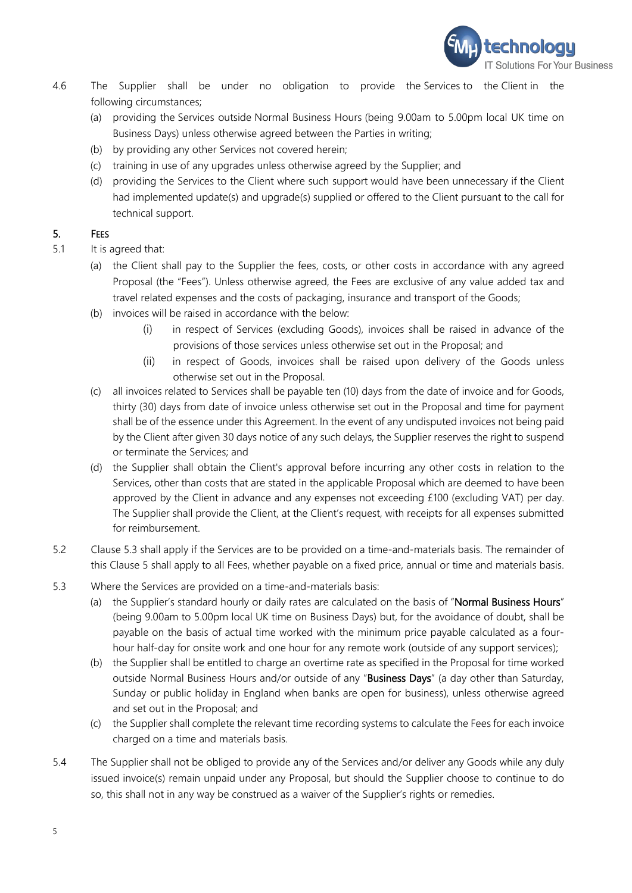

- 4.6 The Supplier shall be under no obligation to provide the Services to the Client in the following circumstances;
	- (a) providing the Services outside Normal Business Hours (being 9.00am to 5.00pm local UK time on Business Days) unless otherwise agreed between the Parties in writing;
	- (b) by providing any other Services not covered herein;
	- (c) training in use of any upgrades unless otherwise agreed by the Supplier; and
	- (d) providing the Services to the Client where such support would have been unnecessary if the Client had implemented update(s) and upgrade(s) supplied or offered to the Client pursuant to the call for technical support.

## <span id="page-4-1"></span>5. FEES

- 5.1 It is agreed that:
	- (a) the Client shall pay to the Supplier the fees, costs, or other costs in accordance with any agreed Proposal (the "Fees"). Unless otherwise agreed, the Fees are exclusive of any value added tax and travel related expenses and the costs of packaging, insurance and transport of the Goods;
	- (b) invoices will be raised in accordance with the below:
		- (i) in respect of Services (excluding Goods), invoices shall be raised in advance of the provisions of those services unless otherwise set out in the Proposal; and
		- (ii) in respect of Goods, invoices shall be raised upon delivery of the Goods unless otherwise set out in the Proposal.
	- (c) all invoices related to Services shall be payable ten (10) days from the date of invoice and for Goods, thirty (30) days from date of invoice unless otherwise set out in the Proposal and time for payment shall be of the essence under this Agreement. In the event of any undisputed invoices not being paid by the Client after given 30 days notice of any such delays, the Supplier reserves the right to suspend or terminate the Services; and
	- (d) the Supplier shall obtain the Client's approval before incurring any other costs in relation to the Services, other than costs that are stated in the applicable Proposal which are deemed to have been approved by the Client in advance and any expenses not exceeding £100 (excluding VAT) per day. The Supplier shall provide the Client, at the Client's request, with receipts for all expenses submitted for reimbursement.
- 5.2 Clause [5.3](#page-4-0) shall apply if the Services are to be provided on a time-and-materials basis. The remainder of this Clause 5 shall apply to all Fees, whether payable on a fixed price, annual or time and materials basis.
- <span id="page-4-0"></span>5.3 Where the Services are provided on a time-and-materials basis:
	- (a) the Supplier's standard hourly or daily rates are calculated on the basis of "Normal Business Hours" (being 9.00am to 5.00pm local UK time on Business Days) but, for the avoidance of doubt, shall be payable on the basis of actual time worked with the minimum price payable calculated as a fourhour half-day for onsite work and one hour for any remote work (outside of any support services);
	- (b) the Supplier shall be entitled to charge an overtime rate as specified in the Proposal for time worked outside Normal Business Hours and/or outside of any "Business Days" (a day other than Saturday, Sunday or public holiday in England when banks are open for business), unless otherwise agreed and set out in the Proposal; and
	- (c) the Supplier shall complete the relevant time recording systems to calculate the Fees for each invoice charged on a time and materials basis.
- 5.4 The Supplier shall not be obliged to provide any of the Services and/or deliver any Goods while any duly issued invoice(s) remain unpaid under any Proposal, but should the Supplier choose to continue to do so, this shall not in any way be construed as a waiver of the Supplier's rights or remedies.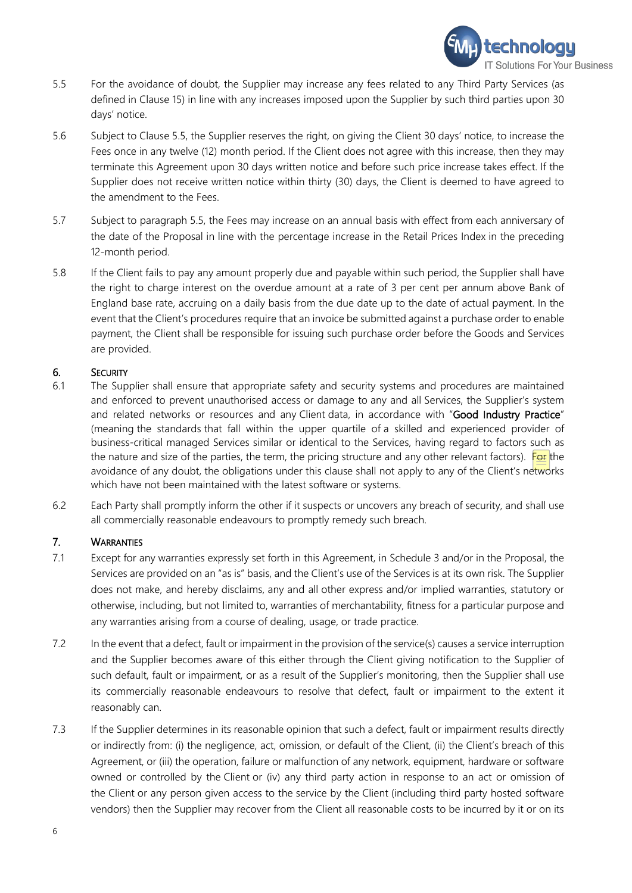

- <span id="page-5-0"></span>5.5 For the avoidance of doubt, the Supplier may increase any fees related to any Third Party Services (as defined in Clause [15\)](#page-9-1) in line with any increases imposed upon the Supplier by such third parties upon 30 days' notice.
- 5.6 Subject to Clause [5.5,](#page-5-0) the Supplier reserves the right, on giving the Client 30 days' notice, to increase the Fees once in any twelve (12) month period. If the Client does not agree with this increase, then they may terminate this Agreement upon 30 days written notice and before such price increase takes effect. If the Supplier does not receive written notice within thirty (30) days, the Client is deemed to have agreed to the amendment to the Fees.
- 5.7 Subject to paragraph [5.5,](#page-5-0) the Fees may increase on an annual basis with effect from each anniversary of the date of the Proposal in line with the percentage increase in the Retail Prices Index in the preceding 12-month period.
- 5.8 If the Client fails to pay any amount properly due and payable within such period, the Supplier shall have the right to charge interest on the overdue amount at a rate of 3 per cent per annum above Bank of England base rate, accruing on a daily basis from the due date up to the date of actual payment. In the event that the Client's procedures require that an invoice be submitted against a purchase order to enable payment, the Client shall be responsible for issuing such purchase order before the Goods and Services are provided.

#### 6. SECURITY

- 6.1 The Supplier shall ensure that appropriate safety and security systems and procedures are maintained and enforced to prevent unauthorised access or damage to any and all Services, the Supplier's system and related networks or resources and any Client data, in accordance with "Good Industry Practice" (meaning the standards that fall within the upper quartile of a skilled and experienced provider of business-critical managed Services similar or identical to the Services, having regard to factors such as the nature and size of the parties, the term, the pricing structure and any other relevant factors). For the avoidance of any doubt, the obligations under this clause shall not apply to any of the Client's networks which have not been maintained with the latest software or systems.
- 6.2 Each Party shall promptly inform the other if it suspects or uncovers any breach of security, and shall use all commercially reasonable endeavours to promptly remedy such breach.

## 7. WARRANTIES

- 7.1 Except for any warranties expressly set forth in this Agreement, in Schedule 3 and/or in the Proposal, the Services are provided on an "as is" basis, and the Client's use of the Services is at its own risk. The Supplier does not make, and hereby disclaims, any and all other express and/or implied warranties, statutory or otherwise, including, but not limited to, warranties of merchantability, fitness for a particular purpose and any warranties arising from a course of dealing, usage, or trade practice.
- 7.2 In the event that a defect, fault or impairment in the provision of the service(s) causes a service interruption and the Supplier becomes aware of this either through the Client giving notification to the Supplier of such default, fault or impairment, or as a result of the Supplier's monitoring, then the Supplier shall use its commercially reasonable endeavours to resolve that defect, fault or impairment to the extent it reasonably can.
- 7.3 If the Supplier determines in its reasonable opinion that such a defect, fault or impairment results directly or indirectly from: (i) the negligence, act, omission, or default of the Client, (ii) the Client's breach of this Agreement, or (iii) the operation, failure or malfunction of any network, equipment, hardware or software owned or controlled by the Client or (iv) any third party action in response to an act or omission of the Client or any person given access to the service by the Client (including third party hosted software vendors) then the Supplier may recover from the Client all reasonable costs to be incurred by it or on its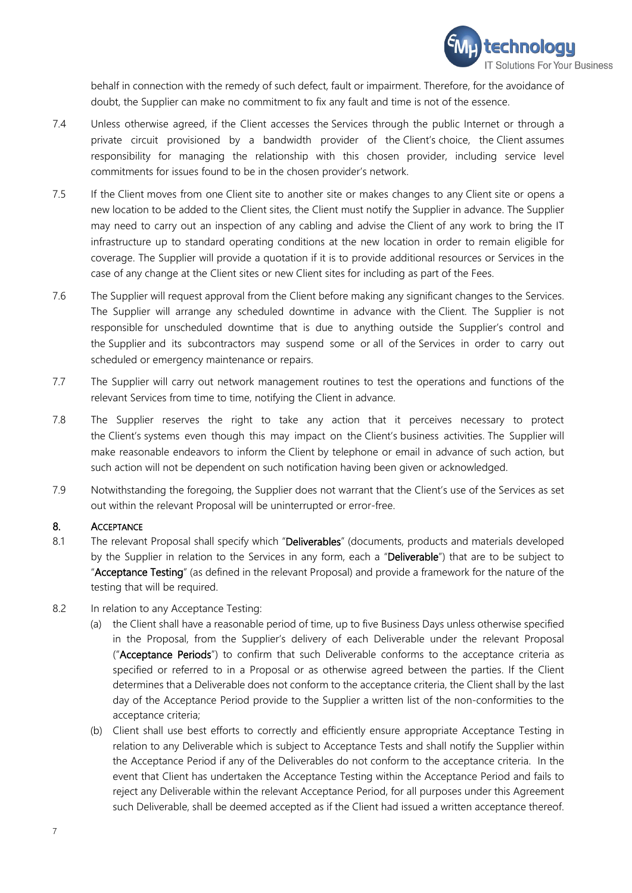

behalf in connection with the remedy of such defect, fault or impairment. Therefore, for the avoidance of doubt, the Supplier can make no commitment to fix any fault and time is not of the essence.

- 7.4 Unless otherwise agreed, if the Client accesses the Services through the public Internet or through a private circuit provisioned by a bandwidth provider of the Client's choice, the Client assumes responsibility for managing the relationship with this chosen provider, including service level commitments for issues found to be in the chosen provider's network.
- 7.5 If the Client moves from one Client site to another site or makes changes to any Client site or opens a new location to be added to the Client sites, the Client must notify the Supplier in advance. The Supplier may need to carry out an inspection of any cabling and advise the Client of any work to bring the IT infrastructure up to standard operating conditions at the new location in order to remain eligible for coverage. The Supplier will provide a quotation if it is to provide additional resources or Services in the case of any change at the Client sites or new Client sites for including as part of the Fees.
- 7.6 The Supplier will request approval from the Client before making any significant changes to the Services. The Supplier will arrange any scheduled downtime in advance with the Client. The Supplier is not responsible for unscheduled downtime that is due to anything outside the Supplier's control and the Supplier and its subcontractors may suspend some or all of the Services in order to carry out scheduled or emergency maintenance or repairs.
- 7.7 The Supplier will carry out network management routines to test the operations and functions of the relevant Services from time to time, notifying the Client in advance.
- 7.8 The Supplier reserves the right to take any action that it perceives necessary to protect the Client's systems even though this may impact on the Client's business activities. The Supplier will make reasonable endeavors to inform the Client by telephone or email in advance of such action, but such action will not be dependent on such notification having been given or acknowledged.
- 7.9 Notwithstanding the foregoing, the Supplier does not warrant that the Client's use of the Services as set out within the relevant Proposal will be uninterrupted or error-free.

#### 8. ACCEPTANCE

- 8.1 The relevant Proposal shall specify which "Deliverables" (documents, products and materials developed by the Supplier in relation to the Services in any form, each a "Deliverable") that are to be subject to "Acceptance Testing" (as defined in the relevant Proposal) and provide a framework for the nature of the testing that will be required.
- <span id="page-6-0"></span>8.2 In relation to any Acceptance Testing:
	- (a) the Client shall have a reasonable period of time, up to five Business Days unless otherwise specified in the Proposal, from the Supplier's delivery of each Deliverable under the relevant Proposal ("Acceptance Periods") to confirm that such Deliverable conforms to the acceptance criteria as specified or referred to in a Proposal or as otherwise agreed between the parties. If the Client determines that a Deliverable does not conform to the acceptance criteria, the Client shall by the last day of the Acceptance Period provide to the Supplier a written list of the non-conformities to the acceptance criteria;
	- (b) Client shall use best efforts to correctly and efficiently ensure appropriate Acceptance Testing in relation to any Deliverable which is subject to Acceptance Tests and shall notify the Supplier within the Acceptance Period if any of the Deliverables do not conform to the acceptance criteria. In the event that Client has undertaken the Acceptance Testing within the Acceptance Period and fails to reject any Deliverable within the relevant Acceptance Period, for all purposes under this Agreement such Deliverable, shall be deemed accepted as if the Client had issued a written acceptance thereof.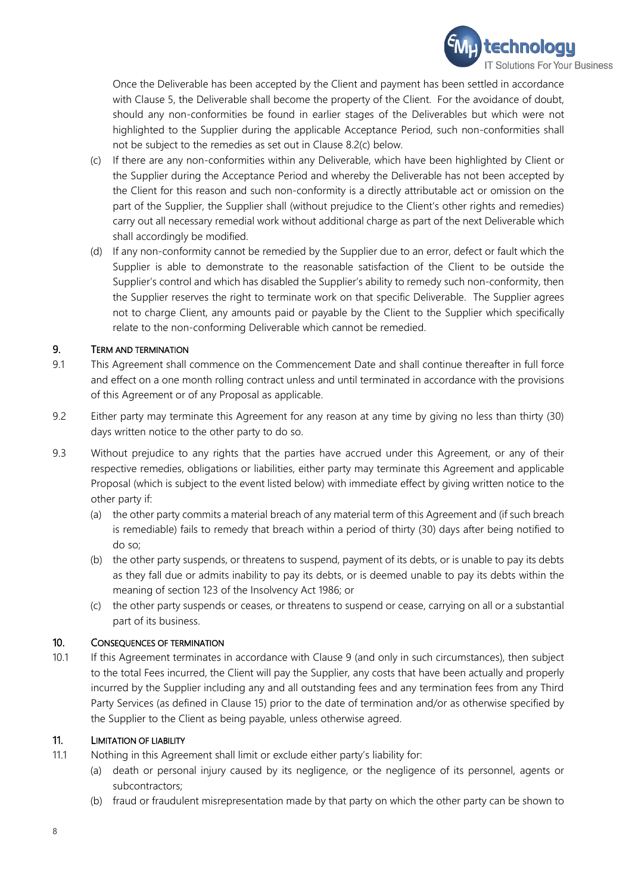

Once the Deliverable has been accepted by the Client and payment has been settled in accordance with Clause [5,](#page-4-1) the Deliverable shall become the property of the Client. For the avoidance of doubt, should any non-conformities be found in earlier stages of the Deliverables but which were not highlighted to the Supplier during the applicable Acceptance Period, such non-conformities shall not be subject to the remedies as set out in Clause [8.2](#page-6-0)[\(c\)](#page-7-0) below.

- <span id="page-7-0"></span>(c) If there are any non-conformities within any Deliverable, which have been highlighted by Client or the Supplier during the Acceptance Period and whereby the Deliverable has not been accepted by the Client for this reason and such non-conformity is a directly attributable act or omission on the part of the Supplier, the Supplier shall (without prejudice to the Client's other rights and remedies) carry out all necessary remedial work without additional charge as part of the next Deliverable which shall accordingly be modified.
- (d) If any non-conformity cannot be remedied by the Supplier due to an error, defect or fault which the Supplier is able to demonstrate to the reasonable satisfaction of the Client to be outside the Supplier's control and which has disabled the Supplier's ability to remedy such non-conformity, then the Supplier reserves the right to terminate work on that specific Deliverable. The Supplier agrees not to charge Client, any amounts paid or payable by the Client to the Supplier which specifically relate to the non-conforming Deliverable which cannot be remedied.

## <span id="page-7-1"></span>9. TERM AND TERMINATION

- 9.1 This Agreement shall commence on the Commencement Date and shall continue thereafter in full force and effect on a one month rolling contract unless and until terminated in accordance with the provisions of this Agreement or of any Proposal as applicable.
- 9.2 Either party may terminate this Agreement for any reason at any time by giving no less than thirty (30) days written notice to the other party to do so.
- 9.3 Without prejudice to any rights that the parties have accrued under this Agreement, or any of their respective remedies, obligations or liabilities, either party may terminate this Agreement and applicable Proposal (which is subject to the event listed below) with immediate effect by giving written notice to the other party if:
	- (a) the other party commits a material breach of any material term of this Agreement and (if such breach is remediable) fails to remedy that breach within a period of thirty (30) days after being notified to do so;
	- (b) the other party suspends, or threatens to suspend, payment of its debts, or is unable to pay its debts as they fall due or admits inability to pay its debts, or is deemed unable to pay its debts within the meaning of section 123 of the Insolvency Act 1986; or
	- (c) the other party suspends or ceases, or threatens to suspend or cease, carrying on all or a substantial part of its business.

#### 10. CONSEQUENCES OF TERMINATION

10.1 If this Agreement terminates in accordance with Clause [9](#page-7-1) (and only in such circumstances), then subject to the total Fees incurred, the Client will pay the Supplier, any costs that have been actually and properly incurred by the Supplier including any and all outstanding fees and any termination fees from any Third Party Services (as defined in Clause [15\)](#page-9-1) prior to the date of termination and/or as otherwise specified by the Supplier to the Client as being payable, unless otherwise agreed.

## 11. LIMITATION OF LIABILITY

- <span id="page-7-2"></span>11.1 Nothing in this Agreement shall limit or exclude either party's liability for:
	- (a) death or personal injury caused by its negligence, or the negligence of its personnel, agents or subcontractors;
	- (b) fraud or fraudulent misrepresentation made by that party on which the other party can be shown to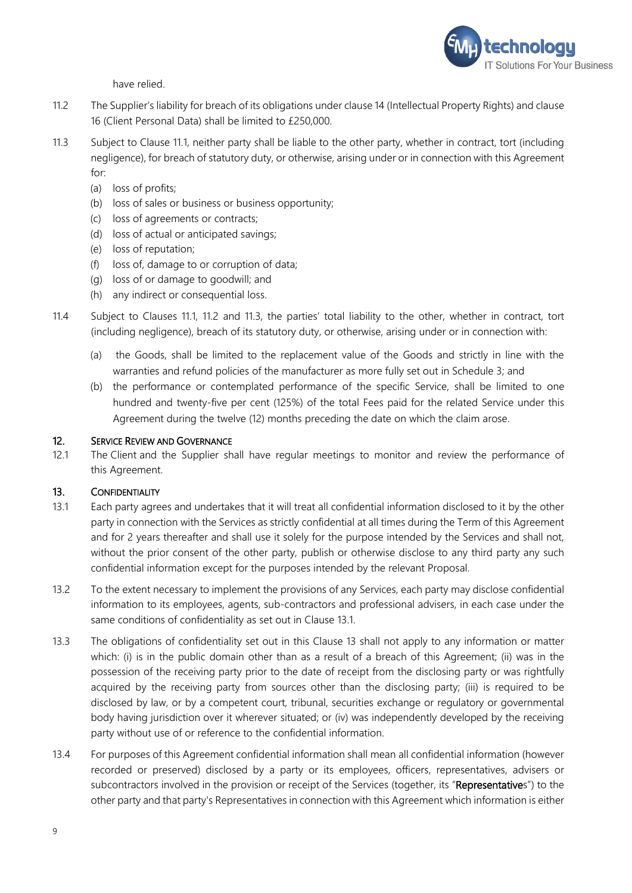

have relied.

- <span id="page-8-1"></span>11.2 The Supplier's liability for breach of its obligations under claus[e 14](#page-9-2) (Intellectual Property Rights) and clause 16 (Client Personal Data) shall be limited to £250,000.
- 11.3 Subject to Clause [11.1,](#page-7-2) neither party shall be liable to the other party, whether in contract, tort (including negligence), for breach of statutory duty, or otherwise, arising under or in connection with this Agreement for:
	- (a) loss of profits;
	- (b) loss of sales or business or business opportunity;
	- (c) loss of agreements or contracts;
	- (d) loss of actual or anticipated savings;
	- (e) loss of reputation;
	- (f) loss of, damage to or corruption of data;
	- (g) loss of or damage to goodwill; and
	- (h) any indirect or consequential loss.
- 11.4 Subject to Clauses [11.1,](#page-7-2) [11.2](#page-8-1) and 11.3, the parties' total liability to the other, whether in contract, tort (including negligence), breach of its statutory duty, or otherwise, arising under or in connection with:
	- (a) the Goods, shall be limited to the replacement value of the Goods and strictly in line with the warranties and refund policies of the manufacturer as more fully set out in Schedule 3; and
	- (b) the performance or contemplated performance of the specific Service, shall be limited to one hundred and twenty-five per cent (125%) of the total Fees paid for the related Service under this Agreement during the twelve (12) months preceding the date on which the claim arose.

#### 12. SERVICE REVIEW AND GOVERNANCE

12.1 The Client and the Supplier shall have regular meetings to monitor and review the performance of this Agreement.

#### <span id="page-8-3"></span>13. CONFIDENTIALITY

- <span id="page-8-2"></span>13.1 Each party agrees and undertakes that it will treat all confidential information disclosed to it by the other party in connection with the Services as strictly confidential at all times during the Term of this Agreement and for 2 years thereafter and shall use it solely for the purpose intended by the Services and shall not, without the prior consent of the other party, publish or otherwise disclose to any third party any such confidential information except for the purposes intended by the relevant Proposal.
- 13.2 To the extent necessary to implement the provisions of any Services, each party may disclose confidential information to its employees, agents, sub-contractors and professional advisers, in each case under the same conditions of confidentiality as set out in Clause [13.1.](#page-8-2)
- 13.3 The obligations of confidentiality set out in this Clause [13](#page-8-3) shall not apply to any information or matter which: (i) is in the public domain other than as a result of a breach of this Agreement; (ii) was in the possession of the receiving party prior to the date of receipt from the disclosing party or was rightfully acquired by the receiving party from sources other than the disclosing party; (iii) is required to be disclosed by law, or by a competent court, tribunal, securities exchange or regulatory or governmental body having jurisdiction over it wherever situated; or (iv) was independently developed by the receiving party without use of or reference to the confidential information.
- <span id="page-8-0"></span>13.4 For purposes of this Agreement confidential information shall mean all confidential information (however recorded or preserved) disclosed by a party or its employees, officers, representatives, advisers or subcontractors involved in the provision or receipt of the Services (together, its "Representatives") to the other party and that party's Representatives in connection with this Agreement which information is either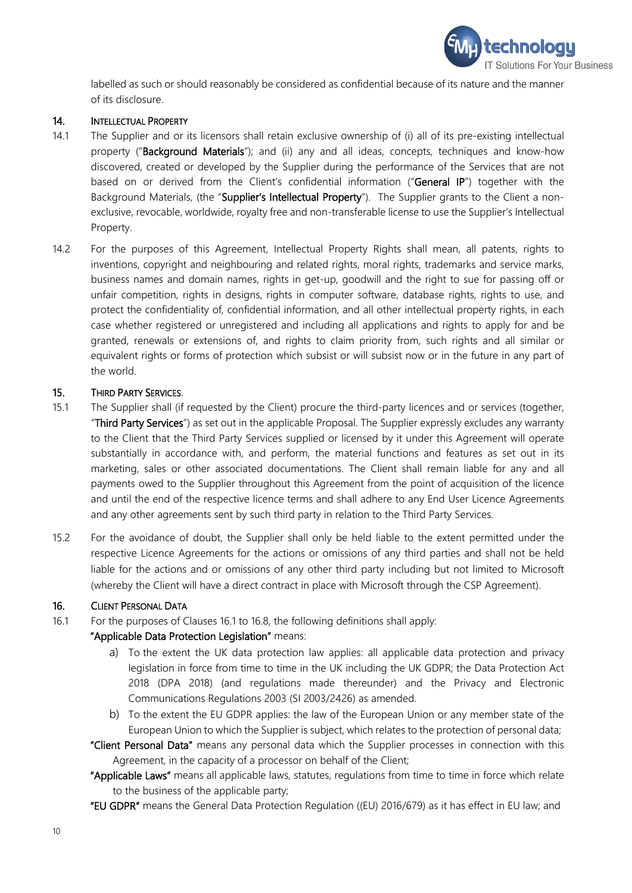

labelled as such or should reasonably be considered as confidential because of its nature and the manner of its disclosure.

#### <span id="page-9-2"></span>14. INTELLECTUAL PROPERTY

- 14.1 The Supplier and or its licensors shall retain exclusive ownership of (i) all of its pre-existing intellectual property ("Background Materials"); and (ii) any and all ideas, concepts, techniques and know-how discovered, created or developed by the Supplier during the performance of the Services that are not based on or derived from the Client's confidential information ("General IP") together with the Background Materials, (the "Supplier's Intellectual Property"). The Supplier grants to the Client a nonexclusive, revocable, worldwide, royalty free and non-transferable license to use the Supplier's Intellectual Property.
- 14.2 For the purposes of this Agreement, Intellectual Property Rights shall mean, all patents, rights to inventions, copyright and neighbouring and related rights, moral rights, trademarks and service marks, business names and domain names, rights in get-up, goodwill and the right to sue for passing off or unfair competition, rights in designs, rights in computer software, database rights, rights to use, and protect the confidentiality of, confidential information, and all other intellectual property rights, in each case whether registered or unregistered and including all applications and rights to apply for and be granted, renewals or extensions of, and rights to claim priority from, such rights and all similar or equivalent rights or forms of protection which subsist or will subsist now or in the future in any part of the world.

## <span id="page-9-1"></span>15. THIRD PARTY SERVICES.

- <span id="page-9-0"></span>15.1 The Supplier shall (if requested by the Client) procure the third-party licences and or services (together, "Third Party Services") as set out in the applicable Proposal. The Supplier expressly excludes any warranty to the Client that the Third Party Services supplied or licensed by it under this Agreement will operate substantially in accordance with, and perform, the material functions and features as set out in its marketing, sales or other associated documentations. The Client shall remain liable for any and all payments owed to the Supplier throughout this Agreement from the point of acquisition of the licence and until the end of the respective licence terms and shall adhere to any End User Licence Agreements and any other agreements sent by such third party in relation to the Third Party Services.
- 15.2 For the avoidance of doubt, the Supplier shall only be held liable to the extent permitted under the respective Licence Agreements for the actions or omissions of any third parties and shall not be held liable for the actions and or omissions of any other third party including but not limited to Microsoft (whereby the Client will have a direct contract in place with Microsoft through the CSP Agreement).

#### 16. CLIENT PERSONAL DATA

<span id="page-9-3"></span>16.1 For the purposes of Clauses [16.1](#page-9-3) to [16.8,](#page-10-0) the following definitions shall apply:

## "Applicable Data Protection Legislation" means:

- a) To the extent the UK data protection law applies: all applicable data protection and privacy legislation in force from time to time in the UK including the UK GDPR; the Data Protection Act 2018 (DPA 2018) (and regulations made thereunder) and the Privacy and Electronic Communications Regulations 2003 (SI 2003/2426) as amended.
- b) To the extent the EU GDPR applies: the law of the European Union or any member state of the European Union to which the Supplier is subject, which relates to the protection of personal data;
- "Client Personal Data" means any personal data which the Supplier processes in connection with this Agreement, in the capacity of a processor on behalf of the Client;
- "Applicable Laws" means all applicable laws, statutes, regulations from time to time in force which relate to the business of the applicable party;
- "EU GDPR" means the General Data Protection Regulation ((EU) 2016/679) as it has effect in EU law; and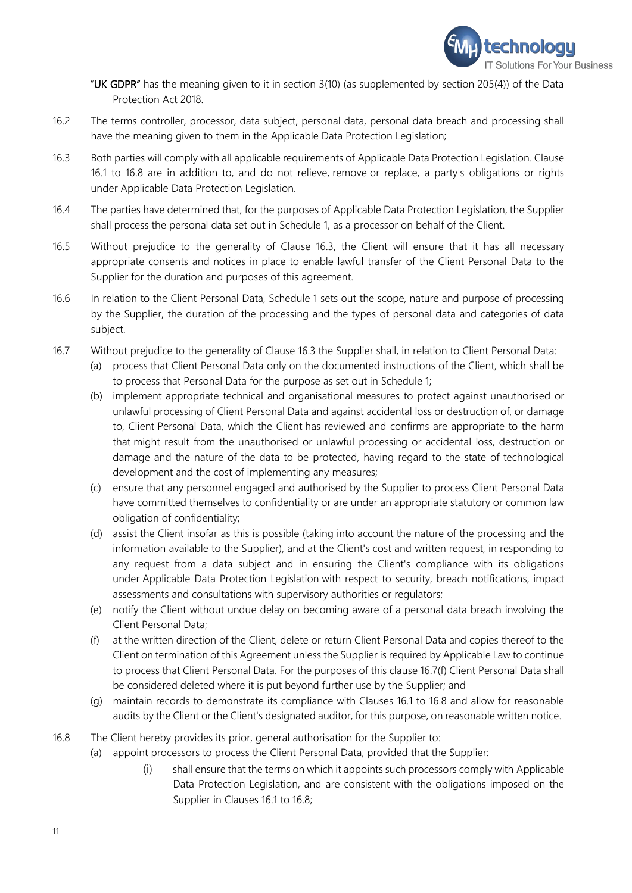

"UK GDPR" has the meaning given to it in section 3(10) (as supplemented by section 205(4)) of the Data Protection Act 2018.

- 16.2 The terms controller, processor, data subject, personal data, personal data breach and processing shall have the meaning given to them in the Applicable Data Protection Legislation;
- <span id="page-10-1"></span>16.3 Both parties will comply with all applicable requirements of Applicable Data Protection Legislation. Clause [16.1](#page-9-3) to [16.8](#page-10-0) are in addition to, and do not relieve, remove or replace, a party's obligations or rights under Applicable Data Protection Legislation.
- 16.4 The parties have determined that, for the purposes of Applicable Data Protection Legislation, the Supplier shall process the personal data set out in Schedule 1, as a processor on behalf of the Client.
- 16.5 Without prejudice to the generality of Clause [16.3,](#page-10-1) the Client will ensure that it has all necessary appropriate consents and notices in place to enable lawful transfer of the Client Personal Data to the Supplier for the duration and purposes of this agreement.
- 16.6 In relation to the Client Personal Data, Schedule 1 sets out the scope, nature and purpose of processing by the Supplier, the duration of the processing and the types of personal data and categories of data subject.
- 16.7 Without prejudice to the generality of Clause [16.3](#page-10-1) the Supplier shall, in relation to Client Personal Data:
	- (a) process that Client Personal Data only on the documented instructions of the Client, which shall be to process that Personal Data for the purpose as set out in Schedule 1;
	- (b) implement appropriate technical and organisational measures to protect against unauthorised or unlawful processing of Client Personal Data and against accidental loss or destruction of, or damage to, Client Personal Data, which the Client has reviewed and confirms are appropriate to the harm that might result from the unauthorised or unlawful processing or accidental loss, destruction or damage and the nature of the data to be protected, having regard to the state of technological development and the cost of implementing any measures;
	- (c) ensure that any personnel engaged and authorised by the Supplier to process Client Personal Data have committed themselves to confidentiality or are under an appropriate statutory or common law obligation of confidentiality;
	- (d) assist the Client insofar as this is possible (taking into account the nature of the processing and the information available to the Supplier), and at the Client's cost and written request, in responding to any request from a data subject and in ensuring the Client's compliance with its obligations under Applicable Data Protection Legislation with respect to security, breach notifications, impact assessments and consultations with supervisory authorities or regulators;
	- (e) notify the Client without undue delay on becoming aware of a personal data breach involving the Client Personal Data;
	- (f) at the written direction of the Client, delete or return Client Personal Data and copies thereof to the Client on termination of this Agreement unless the Supplier is required by Applicable Law to continue to process that Client Personal Data. For the purposes of this clause [16.7\(f\)](#page-10-2) Client Personal Data shall be considered deleted where it is put beyond further use by the Supplier; and
	- (g) maintain records to demonstrate its compliance with Clauses [16.1](#page-9-3) to [16.8](#page-10-0) and allow for reasonable audits by the Client or the Client's designated auditor, for this purpose, on reasonable written notice.
- <span id="page-10-2"></span><span id="page-10-0"></span>16.8 The Client hereby provides its prior, general authorisation for the Supplier to:
	- (a) appoint processors to process the Client Personal Data, provided that the Supplier:
		- (i) shall ensure that the terms on which it appoints such processors comply with Applicable Data Protection Legislation, and are consistent with the obligations imposed on the Supplier in Clauses [16.1](#page-9-3) to [16.8;](#page-10-0)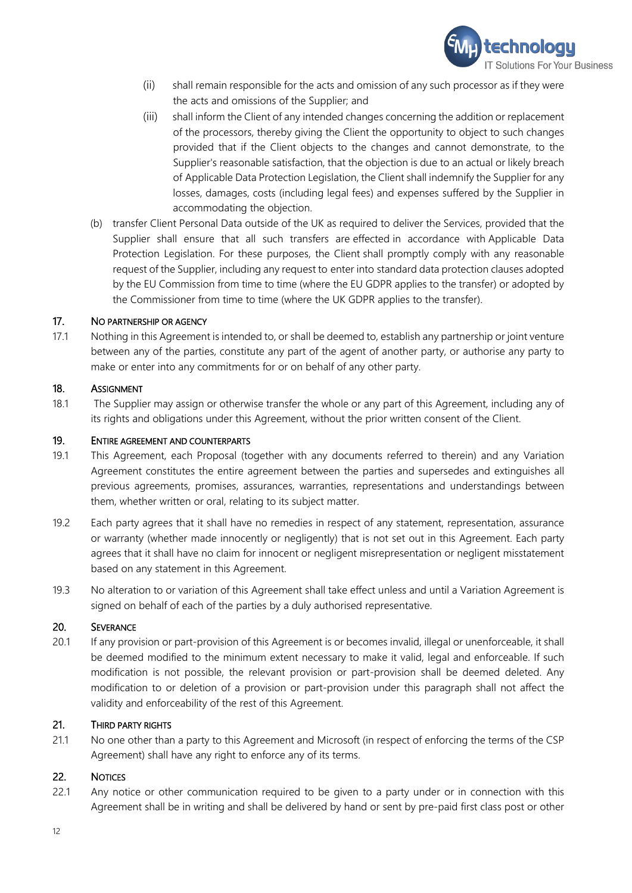

- (ii) shall remain responsible for the acts and omission of any such processor as if they were the acts and omissions of the Supplier; and
- (iii) shall inform the Client of any intended changes concerning the addition or replacement of the processors, thereby giving the Client the opportunity to object to such changes provided that if the Client objects to the changes and cannot demonstrate, to the Supplier's reasonable satisfaction, that the objection is due to an actual or likely breach of Applicable Data Protection Legislation, the Client shall indemnify the Supplier for any losses, damages, costs (including legal fees) and expenses suffered by the Supplier in accommodating the objection.
- (b) transfer Client Personal Data outside of the UK as required to deliver the Services, provided that the Supplier shall ensure that all such transfers are effected in accordance with Applicable Data Protection Legislation. For these purposes, the Client shall promptly comply with any reasonable request of the Supplier, including any request to enter into standard data protection clauses adopted by the EU Commission from time to time (where the EU GDPR applies to the transfer) or adopted by the Commissioner from time to time (where the UK GDPR applies to the transfer).

## 17. NO PARTNERSHIP OR AGENCY

17.1 Nothing in this Agreement is intended to, or shall be deemed to, establish any partnership or joint venture between any of the parties, constitute any part of the agent of another party, or authorise any party to make or enter into any commitments for or on behalf of any other party.

#### 18. ASSIGNMENT

18.1 The Supplier may assign or otherwise transfer the whole or any part of this Agreement, including any of its rights and obligations under this Agreement, without the prior written consent of the Client.

#### 19. ENTIRE AGREEMENT AND COUNTERPARTS

- 19.1 This Agreement, each Proposal (together with any documents referred to therein) and any Variation Agreement constitutes the entire agreement between the parties and supersedes and extinguishes all previous agreements, promises, assurances, warranties, representations and understandings between them, whether written or oral, relating to its subject matter.
- 19.2 Each party agrees that it shall have no remedies in respect of any statement, representation, assurance or warranty (whether made innocently or negligently) that is not set out in this Agreement. Each party agrees that it shall have no claim for innocent or negligent misrepresentation or negligent misstatement based on any statement in this Agreement.
- 19.3 No alteration to or variation of this Agreement shall take effect unless and until a Variation Agreement is signed on behalf of each of the parties by a duly authorised representative.

#### 20. SEVERANCE

20.1 If any provision or part-provision of this Agreement is or becomes invalid, illegal or unenforceable, it shall be deemed modified to the minimum extent necessary to make it valid, legal and enforceable. If such modification is not possible, the relevant provision or part-provision shall be deemed deleted. Any modification to or deletion of a provision or part-provision under this paragraph shall not affect the validity and enforceability of the rest of this Agreement.

#### 21. THIRD PARTY RIGHTS

21.1 No one other than a party to this Agreement and Microsoft (in respect of enforcing the terms of the CSP Agreement) shall have any right to enforce any of its terms.

#### 22. NOTICES

22.1 Any notice or other communication required to be given to a party under or in connection with this Agreement shall be in writing and shall be delivered by hand or sent by pre-paid first class post or other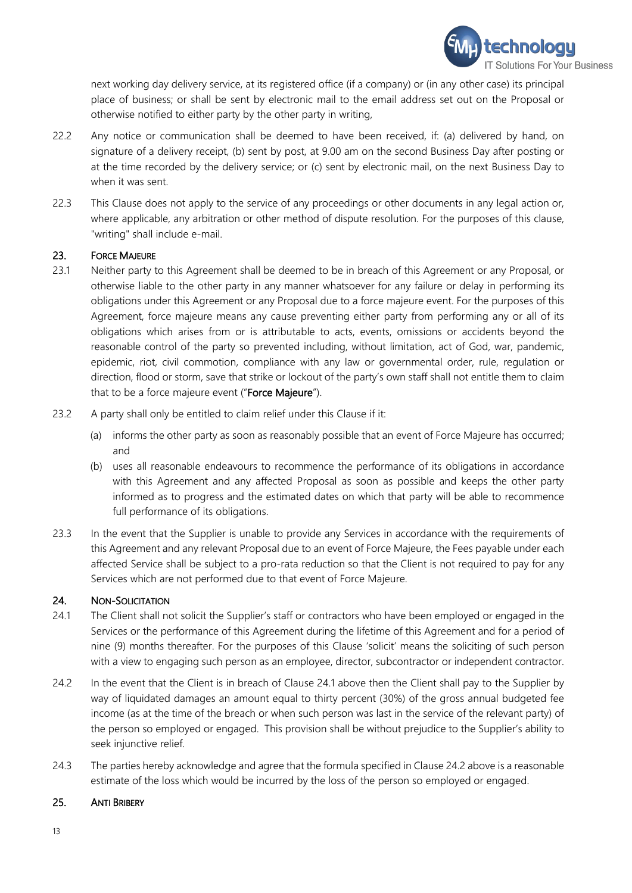

next working day delivery service, at its registered office (if a company) or (in any other case) its principal place of business; or shall be sent by electronic mail to the email address set out on the Proposal or otherwise notified to either party by the other party in writing,

- 22.2 Any notice or communication shall be deemed to have been received, if: (a) delivered by hand, on signature of a delivery receipt, (b) sent by post, at 9.00 am on the second Business Day after posting or at the time recorded by the delivery service; or (c) sent by electronic mail, on the next Business Day to when it was sent.
- 22.3 This Clause does not apply to the service of any proceedings or other documents in any legal action or, where applicable, any arbitration or other method of dispute resolution. For the purposes of this clause, "writing" shall include e-mail.

#### 23. FORCE MAJEURE

- 23.1 Neither party to this Agreement shall be deemed to be in breach of this Agreement or any Proposal, or otherwise liable to the other party in any manner whatsoever for any failure or delay in performing its obligations under this Agreement or any Proposal due to a force majeure event. For the purposes of this Agreement, force majeure means any cause preventing either party from performing any or all of its obligations which arises from or is attributable to acts, events, omissions or accidents beyond the reasonable control of the party so prevented including, without limitation, act of God, war, pandemic, epidemic, riot, civil commotion, compliance with any law or governmental order, rule, regulation or direction, flood or storm, save that strike or lockout of the party's own staff shall not entitle them to claim that to be a force majeure event ("Force Majeure").
- 23.2 A party shall only be entitled to claim relief under this Clause if it:
	- (a) informs the other party as soon as reasonably possible that an event of Force Majeure has occurred; and
	- (b) uses all reasonable endeavours to recommence the performance of its obligations in accordance with this Agreement and any affected Proposal as soon as possible and keeps the other party informed as to progress and the estimated dates on which that party will be able to recommence full performance of its obligations.
- 23.3 In the event that the Supplier is unable to provide any Services in accordance with the requirements of this Agreement and any relevant Proposal due to an event of Force Majeure, the Fees payable under each affected Service shall be subject to a pro-rata reduction so that the Client is not required to pay for any Services which are not performed due to that event of Force Majeure.

## 24. NON-SOLICITATION

- <span id="page-12-0"></span>24.1 The Client shall not solicit the Supplier's staff or contractors who have been employed or engaged in the Services or the performance of this Agreement during the lifetime of this Agreement and for a period of nine (9) months thereafter. For the purposes of this Clause 'solicit' means the soliciting of such person with a view to engaging such person as an employee, director, subcontractor or independent contractor.
- <span id="page-12-1"></span>24.2 In the event that the Client is in breach of Clause [24.1](#page-12-0) above then the Client shall pay to the Supplier by way of liquidated damages an amount equal to thirty percent (30%) of the gross annual budgeted fee income (as at the time of the breach or when such person was last in the service of the relevant party) of the person so employed or engaged. This provision shall be without prejudice to the Supplier's ability to seek injunctive relief.
- 24.3 The parties hereby acknowledge and agree that the formula specified in Claus[e 24.2](#page-12-1) above is a reasonable estimate of the loss which would be incurred by the loss of the person so employed or engaged.

#### 25. ANTI BRIBERY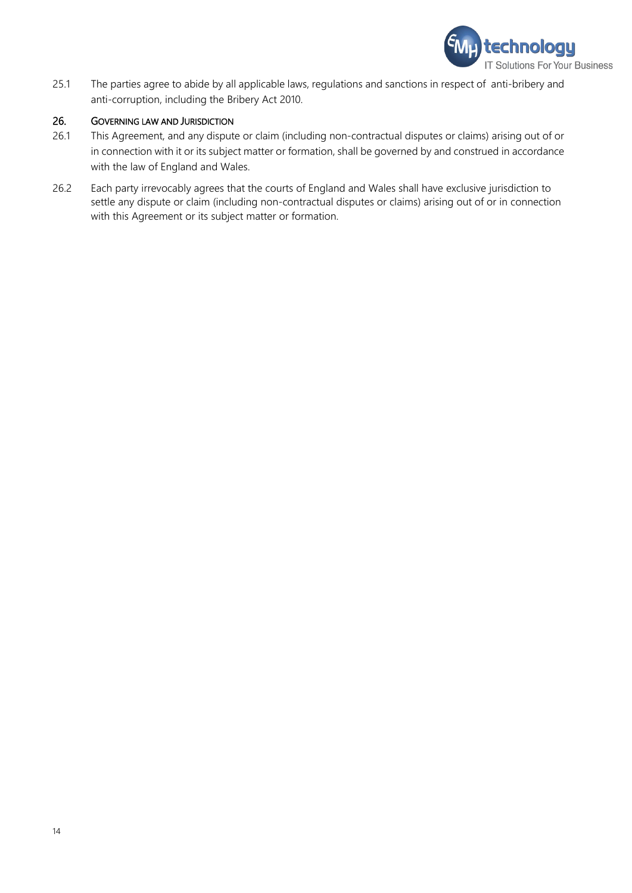

25.1 The parties agree to abide by all applicable laws, regulations and sanctions in respect of anti-bribery and anti-corruption, including the Bribery Act 2010.

#### 26. GOVERNING LAW AND JURISDICTION

- 26.1 This Agreement, and any dispute or claim (including non-contractual disputes or claims) arising out of or in connection with it or its subject matter or formation, shall be governed by and construed in accordance with the law of England and Wales.
- 26.2 Each party irrevocably agrees that the courts of England and Wales shall have exclusive jurisdiction to settle any dispute or claim (including non-contractual disputes or claims) arising out of or in connection with this Agreement or its subject matter or formation.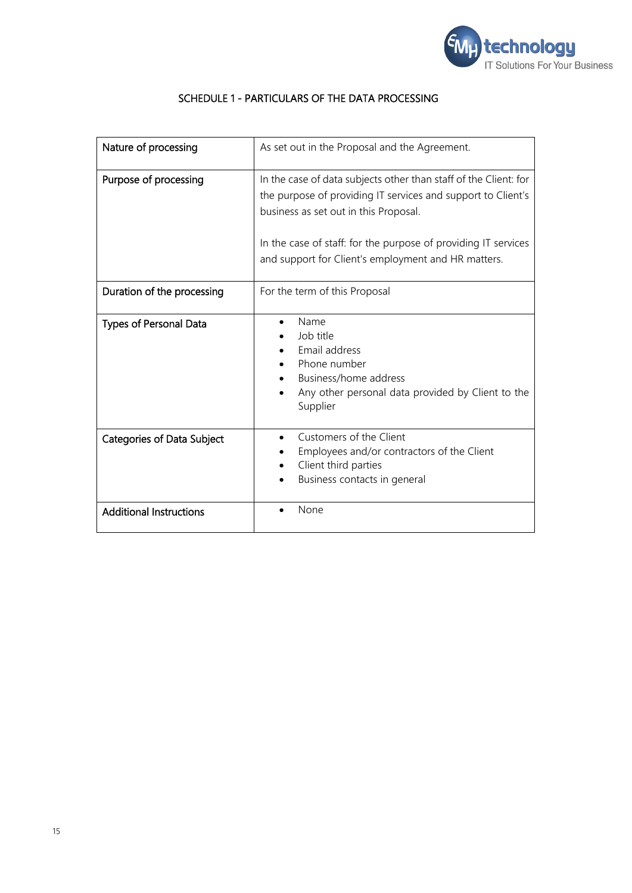

| Nature of processing              | As set out in the Proposal and the Agreement.                                                                                                                                                                                                                                                      |
|-----------------------------------|----------------------------------------------------------------------------------------------------------------------------------------------------------------------------------------------------------------------------------------------------------------------------------------------------|
| Purpose of processing             | In the case of data subjects other than staff of the Client: for<br>the purpose of providing IT services and support to Client's<br>business as set out in this Proposal.<br>In the case of staff: for the purpose of providing IT services<br>and support for Client's employment and HR matters. |
| Duration of the processing        | For the term of this Proposal                                                                                                                                                                                                                                                                      |
| <b>Types of Personal Data</b>     | Name<br>Job title<br>Email address<br>Phone number<br>Business/home address<br>Any other personal data provided by Client to the<br>Supplier                                                                                                                                                       |
| <b>Categories of Data Subject</b> | Customers of the Client<br>Employees and/or contractors of the Client<br>Client third parties<br>Business contacts in general                                                                                                                                                                      |
| <b>Additional Instructions</b>    | None                                                                                                                                                                                                                                                                                               |

# SCHEDULE 1 - PARTICULARS OF THE DATA PROCESSING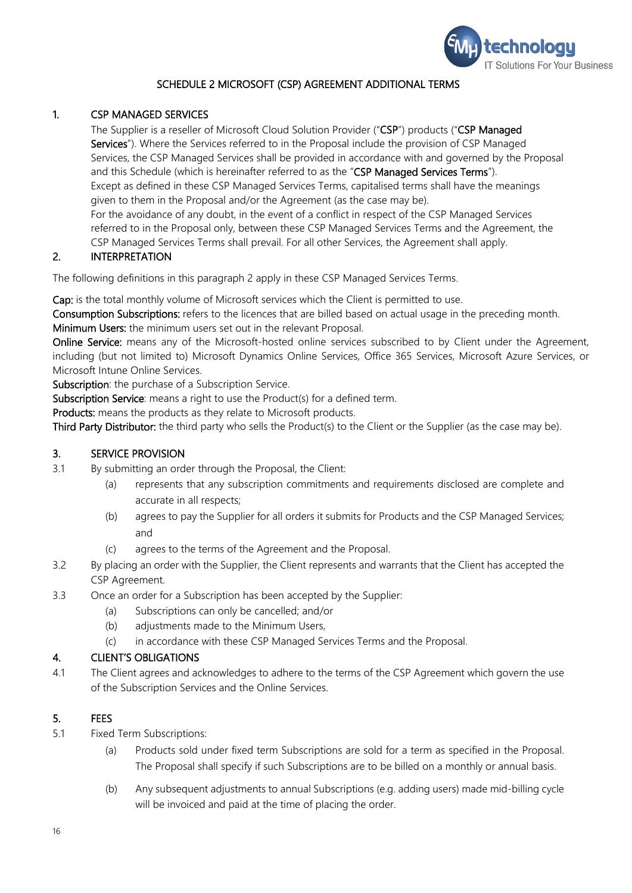

## SCHEDULE 2 MICROSOFT (CSP) AGREEMENT ADDITIONAL TERMS

## 1. CSP MANAGED SERVICES

The Supplier is a reseller of Microsoft Cloud Solution Provider ("CSP") products ("CSP Managed Services"). Where the Services referred to in the Proposal include the provision of CSP Managed Services, the CSP Managed Services shall be provided in accordance with and governed by the Proposal and this Schedule (which is hereinafter referred to as the "CSP Managed Services Terms"). Except as defined in these CSP Managed Services Terms, capitalised terms shall have the meanings given to them in the Proposal and/or the Agreement (as the case may be). For the avoidance of any doubt, in the event of a conflict in respect of the CSP Managed Services referred to in the Proposal only, between these CSP Managed Services Terms and the Agreement, the CSP Managed Services Terms shall prevail. For all other Services, the Agreement shall apply.

### 2. INTERPRETATION

The following definitions in this paragraph 2 apply in these CSP Managed Services Terms.

Cap: is the total monthly volume of Microsoft services which the Client is permitted to use.

Consumption Subscriptions: refers to the licences that are billed based on actual usage in the preceding month. Minimum Users: the minimum users set out in the relevant Proposal.

Online Service: means any of the Microsoft-hosted online services subscribed to by Client under the Agreement, including (but not limited to) Microsoft Dynamics Online Services, Office 365 Services, Microsoft Azure Services, or Microsoft Intune Online Services.

Subscription: the purchase of a Subscription Service.

Subscription Service: means a right to use the Product(s) for a defined term.

Products: means the products as they relate to Microsoft products.

Third Party Distributor: the third party who sells the Product(s) to the Client or the Supplier (as the case may be).

#### 3. SERVICE PROVISION

- 3.1 By submitting an order through the Proposal, the Client:
	- (a) represents that any subscription commitments and requirements disclosed are complete and accurate in all respects;
	- (b) agrees to pay the Supplier for all orders it submits for Products and the CSP Managed Services; and
	- (c) agrees to the terms of the Agreement and the Proposal.
- 3.2 By placing an order with the Supplier, the Client represents and warrants that the Client has accepted the CSP Agreement.
- 3.3 Once an order for a Subscription has been accepted by the Supplier:
	- (a) Subscriptions can only be cancelled; and/or
	- (b) adjustments made to the Minimum Users,
	- (c) in accordance with these CSP Managed Services Terms and the Proposal.

#### 4. CLIENT'S OBLIGATIONS

4.1 The Client agrees and acknowledges to adhere to the terms of the CSP Agreement which govern the use of the Subscription Services and the Online Services.

#### 5. FEES

- 5.1 Fixed Term Subscriptions:
	- (a) Products sold under fixed term Subscriptions are sold for a term as specified in the Proposal. The Proposal shall specify if such Subscriptions are to be billed on a monthly or annual basis.
	- (b) Any subsequent adjustments to annual Subscriptions (e.g. adding users) made mid-billing cycle will be invoiced and paid at the time of placing the order.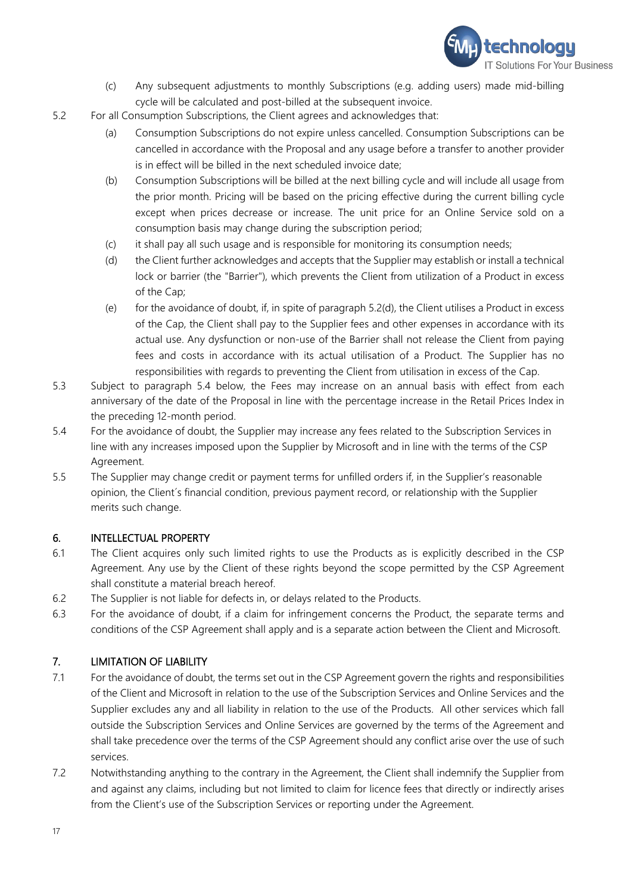

- (c) Any subsequent adjustments to monthly Subscriptions (e.g. adding users) made mid-billing cycle will be calculated and post-billed at the subsequent invoice.
- 5.2 For all Consumption Subscriptions, the Client agrees and acknowledges that:
	- (a) Consumption Subscriptions do not expire unless cancelled. Consumption Subscriptions can be cancelled in accordance with the Proposal and any usage before a transfer to another provider is in effect will be billed in the next scheduled invoice date;
	- (b) Consumption Subscriptions will be billed at the next billing cycle and will include all usage from the prior month. Pricing will be based on the pricing effective during the current billing cycle except when prices decrease or increase. The unit price for an Online Service sold on a consumption basis may change during the subscription period;
	- (c) it shall pay all such usage and is responsible for monitoring its consumption needs;
	- (d) the Client further acknowledges and accepts that the Supplier may establish or install a technical lock or barrier (the "Barrier"), which prevents the Client from utilization of a Product in excess of the Cap;
	- (e) for the avoidance of doubt, if, in spite of paragraph 5.[2\(d\),](#page-16-0) the Client utilises a Product in excess of the Cap, the Client shall pay to the Supplier fees and other expenses in accordance with its actual use. Any dysfunction or non-use of the Barrier shall not release the Client from paying fees and costs in accordance with its actual utilisation of a Product. The Supplier has no responsibilities with regards to preventing the Client from utilisation in excess of the Cap.
- <span id="page-16-0"></span>5.3 Subject to paragraph 5.4 below, the Fees may increase on an annual basis with effect from each anniversary of the date of the Proposal in line with the percentage increase in the Retail Prices Index in the preceding 12-month period.
- 5.4 For the avoidance of doubt, the Supplier may increase any fees related to the Subscription Services in line with any increases imposed upon the Supplier by Microsoft and in line with the terms of the CSP Agreement.
- 5.5 The Supplier may change credit or payment terms for unfilled orders if, in the Supplier's reasonable opinion, the Client´s financial condition, previous payment record, or relationship with the Supplier merits such change.

## 6. INTELLECTUAL PROPERTY

- 6.1 The Client acquires only such limited rights to use the Products as is explicitly described in the CSP Agreement. Any use by the Client of these rights beyond the scope permitted by the CSP Agreement shall constitute a material breach hereof.
- 6.2 The Supplier is not liable for defects in, or delays related to the Products.
- 6.3 For the avoidance of doubt, if a claim for infringement concerns the Product, the separate terms and conditions of the CSP Agreement shall apply and is a separate action between the Client and Microsoft.

## 7. LIMITATION OF LIABILITY

- 7.1 For the avoidance of doubt, the terms set out in the CSP Agreement govern the rights and responsibilities of the Client and Microsoft in relation to the use of the Subscription Services and Online Services and the Supplier excludes any and all liability in relation to the use of the Products. All other services which fall outside the Subscription Services and Online Services are governed by the terms of the Agreement and shall take precedence over the terms of the CSP Agreement should any conflict arise over the use of such services.
- 7.2 Notwithstanding anything to the contrary in the Agreement, the Client shall indemnify the Supplier from and against any claims, including but not limited to claim for licence fees that directly or indirectly arises from the Client's use of the Subscription Services or reporting under the Agreement.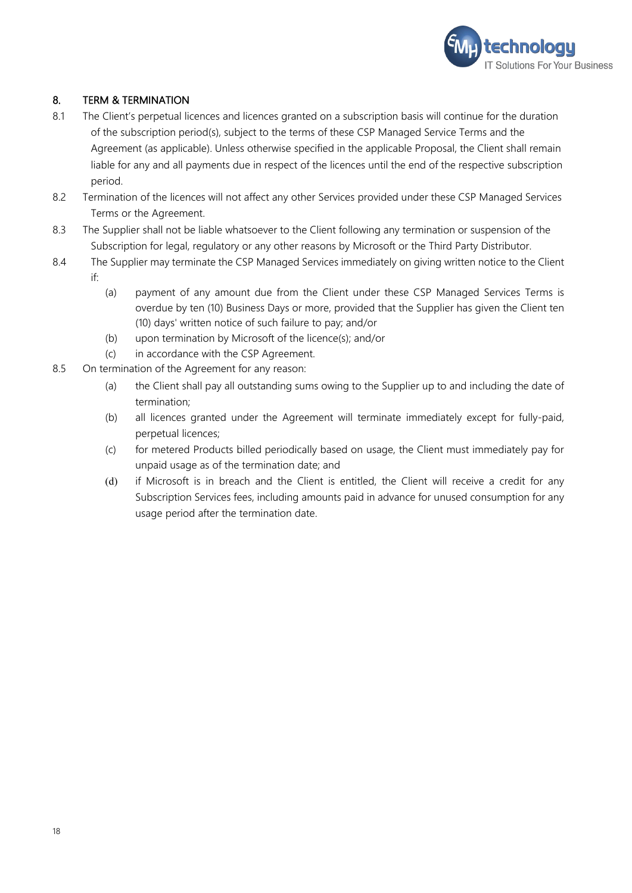

# 8. TERM & TERMINATION

- 8.1 The Client's perpetual licences and licences granted on a subscription basis will continue for the duration of the subscription period(s), subject to the terms of these CSP Managed Service Terms and the Agreement (as applicable). Unless otherwise specified in the applicable Proposal, the Client shall remain liable for any and all payments due in respect of the licences until the end of the respective subscription period.
- 8.2 Termination of the licences will not affect any other Services provided under these CSP Managed Services Terms or the Agreement.
- 8.3 The Supplier shall not be liable whatsoever to the Client following any termination or suspension of the Subscription for legal, regulatory or any other reasons by Microsoft or the Third Party Distributor.
- 8.4 The Supplier may terminate the CSP Managed Services immediately on giving written notice to the Client if:
	- (a) payment of any amount due from the Client under these CSP Managed Services Terms is overdue by ten (10) Business Days or more, provided that the Supplier has given the Client ten (10) days' written notice of such failure to pay; and/or
	- (b) upon termination by Microsoft of the licence(s); and/or
	- (c) in accordance with the CSP Agreement.
- 8.5 On termination of the Agreement for any reason:
	- (a) the Client shall pay all outstanding sums owing to the Supplier up to and including the date of termination;
	- (b) all licences granted under the Agreement will terminate immediately except for fully-paid, perpetual licences;
	- (c) for metered Products billed periodically based on usage, the Client must immediately pay for unpaid usage as of the termination date; and
	- (d) if Microsoft is in breach and the Client is entitled, the Client will receive a credit for any Subscription Services fees, including amounts paid in advance for unused consumption for any usage period after the termination date.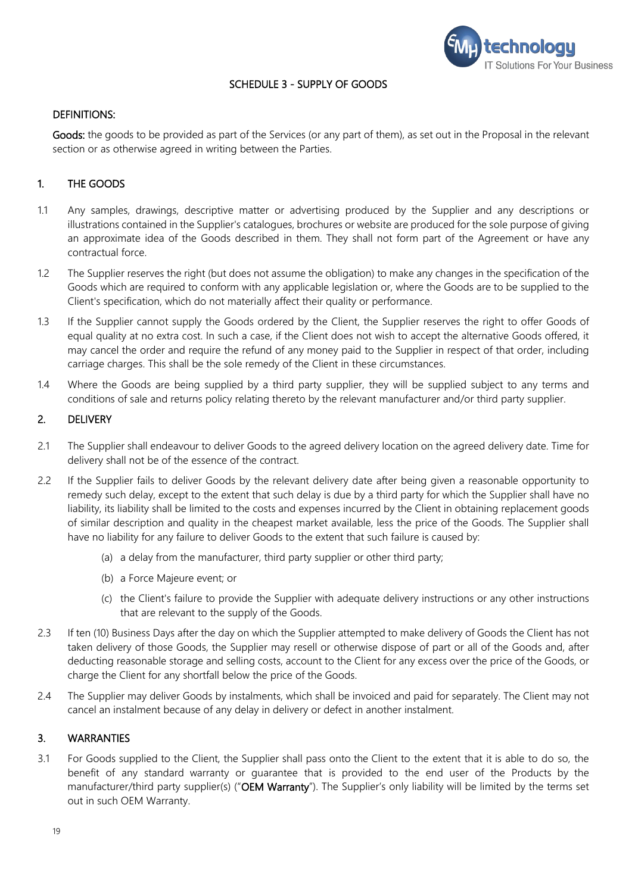

#### SCHEDULE 3 - SUPPLY OF GOODS

#### DEFINITIONS:

Goods: the goods to be provided as part of the Services (or any part of them), as set out in the Proposal in the relevant section or as otherwise agreed in writing between the Parties.

## 1. THE GOODS

- 1.1 Any samples, drawings, descriptive matter or advertising produced by the Supplier and any descriptions or illustrations contained in the Supplier's catalogues, brochures or website are produced for the sole purpose of giving an approximate idea of the Goods described in them. They shall not form part of the Agreement or have any contractual force.
- 1.2 The Supplier reserves the right (but does not assume the obligation) to make any changes in the specification of the Goods which are required to conform with any applicable legislation or, where the Goods are to be supplied to the Client's specification, which do not materially affect their quality or performance.
- 1.3 If the Supplier cannot supply the Goods ordered by the Client, the Supplier reserves the right to offer Goods of equal quality at no extra cost. In such a case, if the Client does not wish to accept the alternative Goods offered, it may cancel the order and require the refund of any money paid to the Supplier in respect of that order, including carriage charges. This shall be the sole remedy of the Client in these circumstances.
- 1.4 Where the Goods are being supplied by a third party supplier, they will be supplied subject to any terms and conditions of sale and returns policy relating thereto by the relevant manufacturer and/or third party supplier.

#### 2. DELIVERY

- 2.1 The Supplier shall endeavour to deliver Goods to the agreed delivery location on the agreed delivery date. Time for delivery shall not be of the essence of the contract.
- 2.2 If the Supplier fails to deliver Goods by the relevant delivery date after being given a reasonable opportunity to remedy such delay, except to the extent that such delay is due by a third party for which the Supplier shall have no liability, its liability shall be limited to the costs and expenses incurred by the Client in obtaining replacement goods of similar description and quality in the cheapest market available, less the price of the Goods. The Supplier shall have no liability for any failure to deliver Goods to the extent that such failure is caused by:
	- (a) a delay from the manufacturer, third party supplier or other third party;
	- (b) a Force Majeure event; or
	- (c) the Client's failure to provide the Supplier with adequate delivery instructions or any other instructions that are relevant to the supply of the Goods.
- 2.3 If ten (10) Business Days after the day on which the Supplier attempted to make delivery of Goods the Client has not taken delivery of those Goods, the Supplier may resell or otherwise dispose of part or all of the Goods and, after deducting reasonable storage and selling costs, account to the Client for any excess over the price of the Goods, or charge the Client for any shortfall below the price of the Goods.
- 2.4 The Supplier may deliver Goods by instalments, which shall be invoiced and paid for separately. The Client may not cancel an instalment because of any delay in delivery or defect in another instalment.

#### 3. WARRANTIES

3.1 For Goods supplied to the Client, the Supplier shall pass onto the Client to the extent that it is able to do so, the benefit of any standard warranty or guarantee that is provided to the end user of the Products by the manufacturer/third party supplier(s) ("OEM Warranty"). The Supplier's only liability will be limited by the terms set out in such OEM Warranty.